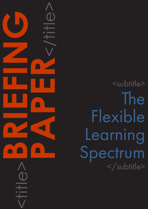<subtitle> The Flexible Learning Spectrum </subtitle>

<title>**BRIEFING**

**PAPER**<br>CONSTRAINS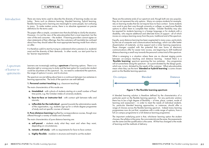## CAPDM Ltd. CAPDM Ltd.

Introduction There are many terms used to describe the diversity of learning modes we see today. Terms such as distance learning, blended learning, hybrid learning, flexible learning and e-learning are meaningful to some people, but confusing to many. To make matters worse, there is no absolute agreement on precise definitions for the terms used.

> This paper offers a simple, consistent view that should help to clarify the situation. However, it is not the view of the educationalists that is most important, but the view of the end consumer – the student. If learning providers cannot agree on clear statements of their offerings, then the customers will inevitably be confused about how they should select the most appropriate learning mode from what is on offer.

Learners are increasingly seeking a **spectrum** of learning options. There is no absolute right or wrong way to study and the best option for a particular student could be anywhere on this spectrum. So, we need to understand the spectrum, the range of options it covers, and its structure.

It is therefore useful to start by trying to understand what customers (i.e. students) want and the diversity of their demands. In other words, our start point has to be 'learner requirements'.

2. Pure distance learning (typified by correspondence courses, though now offered through a variety of media and channels)

The spectrum we are talking about here is a continuum between two extremes in learning approaches. The ends of the spectrum are well-defined:

### 1. Personal contact teaching (e.g. classroom teaching)

The main characteristics of this mode are:

- a. timetabled with cohorts of students starting at a small number of fixed time points, e.g. the October intake of university students;
- b. face-to-face or instructor-led with contact split between talks and tutorials;
- c. inflexible for the individual geared towards the administrative needs of the organisation, e.g. students sign-up for a whole degree programme of study and not specific courses of interest.

What is emerging is a situation where there are no discreet staging points between on-campus teaching and distance learning. Instead there is a 'flexible learning' spectrum spanning the two extremes. Any programme will sit somewhere along this spectrum - at a point dictated by the design goals, which are, in turn, dictated by the needs of the customer. What educationalists mean when they use the term '**blended or hybrid learning**' is some chosen point on this flexible learning spectrum.

The main characteristics of pure distance learning are:

- a. self-paced students study what they want and when they want, depending on circumstances;
- **b. remote self-study** with no requirements for face-to-face contact;
- c. highly flexible modular in structure and timed to suit the student

These are the extreme ends of our spectrum and, though both are very popular, they do not represent the only options. Many on-campus students for example, rely on learning modes that do not require face-to-face contact. Some students now work to pay their way through university or college, so need more flexible options to allow them to complete their studies. Greater flexibility may also be required for students learning in a foreign language or for students with a disability, who require additional and alternate forms of support - all of which moves on-campus learning away from the pure, traditional end of the spectrum.

Equally, pure distance learning has been augmented in many ways, particularly by the use of computer and communications technology, which can offer better dissemination of materials, on-line support and a richer learning experience. These changes coupled with the potential that new forms of electronic communications offer for easier tutor access, are beginning to shift traditional distance learning a small way towards the personal contact end of the spectrum.

# A spectrum of learner re quirements



Figure 1: The flexible learning spectrum

A blended learning solution is therefore defined by the characteristics of a particular point on the flexible learning spectrum. For any particular solution there has to be a high degree of flexibility – of time, place, content, mode of learning and assessment – in order to meet the needs of individual students. So, particular blended learning approaches, or instances, should offer a range of choices across the flexible learning spectrum. Indeed many learning programmes now do just that, sometimes with a wide range of options, from a full on-campus programme to a full distance learning programme.

The important underlying point is that, whichever learning option the student chooses, the syllabus is the same, the core materials are the same, the assessments are the same and the qualification is the same. All that has changed is the mode of learning and the methods of delivery.